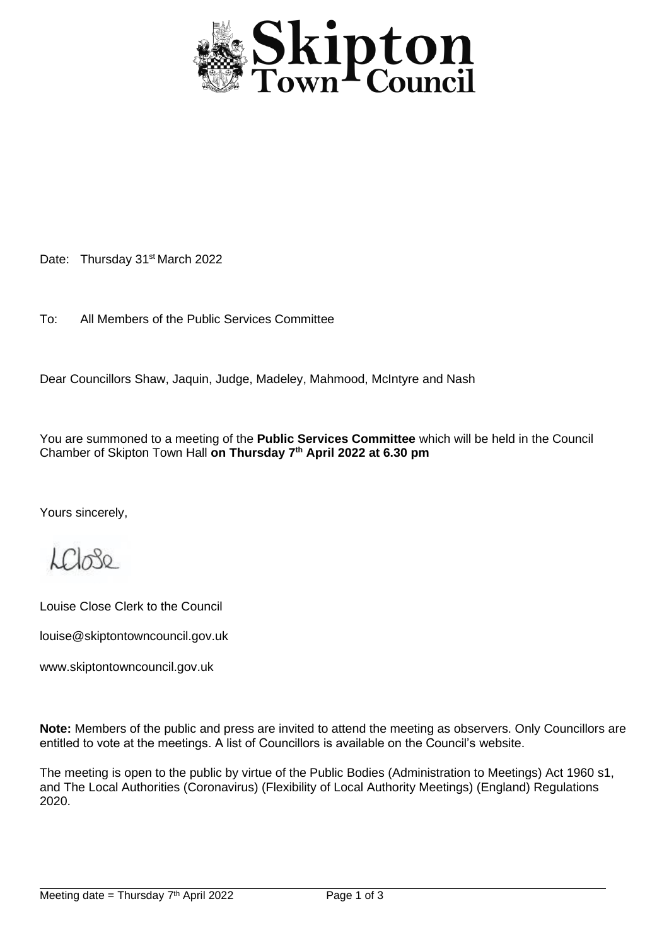

Date: Thursday 31<sup>st</sup> March 2022

To: All Members of the Public Services Committee

Dear Councillors Shaw, Jaquin, Judge, Madeley, Mahmood, McIntyre and Nash

You are summoned to a meeting of the **Public Services Committee** which will be held in the Council Chamber of Skipton Town Hall **on Thursday 7 th April 2022 at 6.30 pm**

Yours sincerely,

 $LCl_0$ 80

Louise Close Clerk to the Council

louise@skiptontowncouncil.gov.uk

www.skiptontowncouncil.gov.uk

**Note:** Members of the public and press are invited to attend the meeting as observers. Only Councillors are entitled to vote at the meetings. A list of Councillors is available on the Council's website.

The meeting is open to the public by virtue of the Public Bodies (Administration to Meetings) Act 1960 s1, and The Local Authorities (Coronavirus) (Flexibility of Local Authority Meetings) (England) Regulations 2020.

j.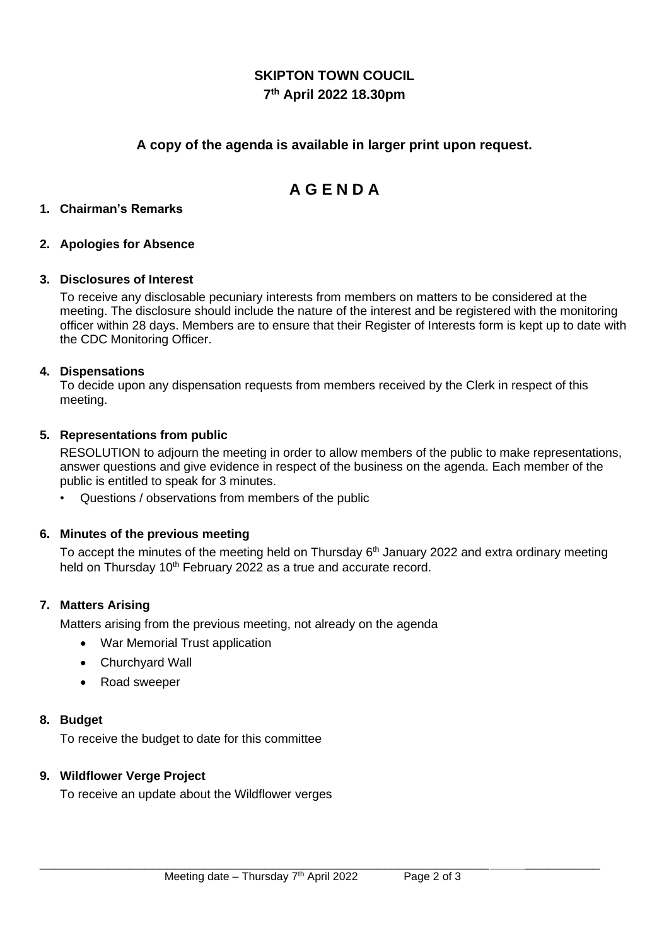## **SKIPTON TOWN COUCIL 7 th April 2022 18.30pm**

## **A copy of the agenda is available in larger print upon request.**

# **A G E N D A**

### **1. Chairman's Remarks**

### **2. Apologies for Absence**

### **3. Disclosures of Interest**

To receive any disclosable pecuniary interests from members on matters to be considered at the meeting. The disclosure should include the nature of the interest and be registered with the monitoring officer within 28 days. Members are to ensure that their Register of Interests form is kept up to date with the CDC Monitoring Officer.

### **4. Dispensations**

To decide upon any dispensation requests from members received by the Clerk in respect of this meeting.

### **5. Representations from public**

RESOLUTION to adjourn the meeting in order to allow members of the public to make representations, answer questions and give evidence in respect of the business on the agenda. Each member of the public is entitled to speak for 3 minutes.

• Questions / observations from members of the public

### **6. Minutes of the previous meeting**

To accept the minutes of the meeting held on Thursday 6<sup>th</sup> January 2022 and extra ordinary meeting held on Thursday 10<sup>th</sup> February 2022 as a true and accurate record.

### **7. Matters Arising**

Matters arising from the previous meeting, not already on the agenda

- War Memorial Trust application
- Churchyard Wall
- Road sweeper

### **8. Budget**

To receive the budget to date for this committee

### **9. Wildflower Verge Project**

To receive an update about the Wildflower verges

\_\_\_\_\_\_\_\_\_\_\_\_\_\_\_\_\_\_\_\_\_\_\_\_\_\_\_\_\_\_\_\_\_\_\_\_\_\_\_\_\_\_\_\_\_\_\_\_\_\_\_\_\_\_\_\_\_\_\_\_ \_\_\_\_\_\_\_\_\_\_